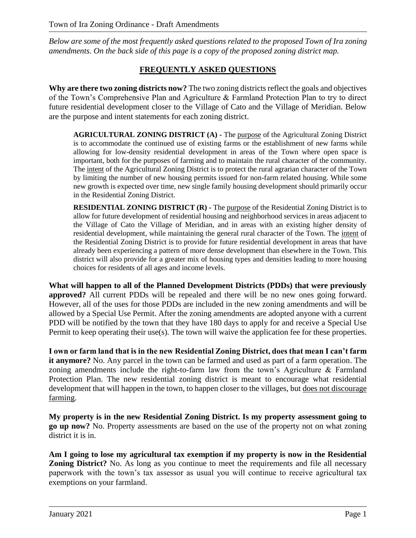*Below are some of the most frequently asked questions related to the proposed Town of Ira zoning amendments. On the back side of this page is a copy of the proposed zoning district map.*

## **FREQUENTLY ASKED QUESTIONS**

**Why are there two zoning districts now?** The two zoning districts reflect the goals and objectives of the Town's Comprehensive Plan and Agriculture & Farmland Protection Plan to try to direct future residential development closer to the Village of Cato and the Village of Meridian. Below are the purpose and intent statements for each zoning district.

**AGRICULTURAL ZONING DISTRICT (A) -** The purpose of the Agricultural Zoning District is to accommodate the continued use of existing farms or the establishment of new farms while allowing for low-density residential development in areas of the Town where open space is important, both for the purposes of farming and to maintain the rural character of the community. The intent of the Agricultural Zoning District is to protect the rural agrarian character of the Town by limiting the number of new housing permits issued for non-farm related housing. While some new growth is expected over time, new single family housing development should primarily occur in the Residential Zoning District.

**RESIDENTIAL ZONING DISTRICT (R) -** The purpose of the Residential Zoning District is to allow for future development of residential housing and neighborhood services in areas adjacent to the Village of Cato the Village of Meridian, and in areas with an existing higher density of residential development, while maintaining the general rural character of the Town. The intent of the Residential Zoning District is to provide for future residential development in areas that have already been experiencing a pattern of more dense development than elsewhere in the Town. This district will also provide for a greater mix of housing types and densities leading to more housing choices for residents of all ages and income levels.

**What will happen to all of the Planned Development Districts (PDDs) that were previously approved?** All current PDDs will be repealed and there will be no new ones going forward. However, all of the uses for those PDDs are included in the new zoning amendments and will be allowed by a Special Use Permit. After the zoning amendments are adopted anyone with a current PDD will be notified by the town that they have 180 days to apply for and receive a Special Use Permit to keep operating their use(s). The town will waive the application fee for these properties.

**I own or farm land that is in the new Residential Zoning District, does that mean I can't farm it anymore?** No. Any parcel in the town can be farmed and used as part of a farm operation. The zoning amendments include the right-to-farm law from the town's Agriculture & Farmland Protection Plan. The new residential zoning district is meant to encourage what residential development that will happen in the town, to happen closer to the villages, but does not discourage farming.

**My property is in the new Residential Zoning District. Is my property assessment going to go up now?** No. Property assessments are based on the use of the property not on what zoning district it is in.

**Am I going to lose my agricultural tax exemption if my property is now in the Residential Zoning District?** No. As long as you continue to meet the requirements and file all necessary paperwork with the town's tax assessor as usual you will continue to receive agricultural tax exemptions on your farmland.